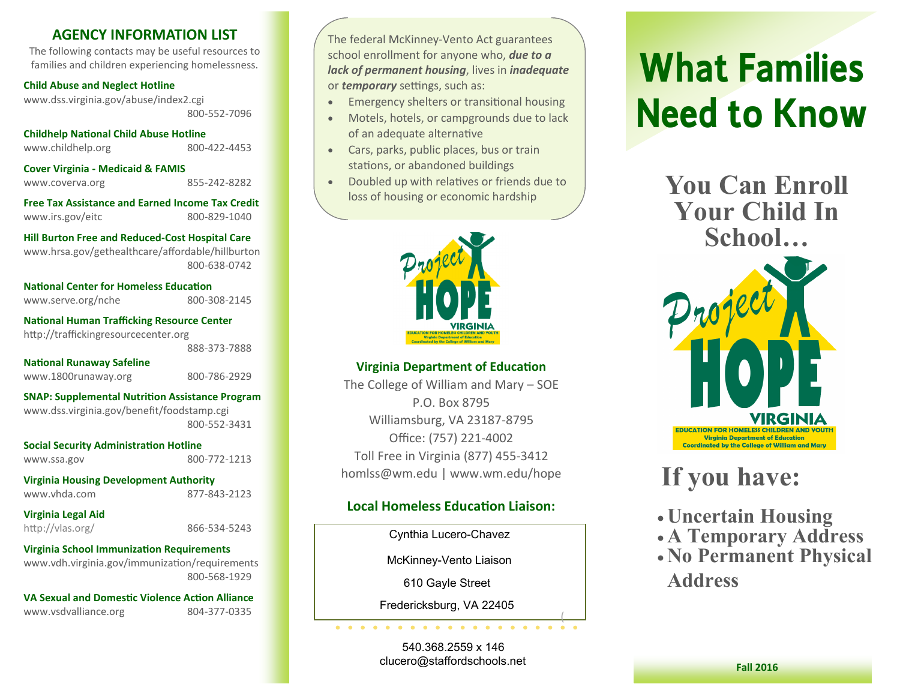### **AGENCY INFORMATION LIST**

The following contacts may be useful resources to families and children experiencing homelessness.

#### **Child Abuse and Neglect Hotline**

www.dss.virginia.gov/abuse/index2.cgi 800-552-7096

**Childhelp National Child Abuse Hotline**  www.childhelp.org 800-422-4453

**Cover Virginia - Medicaid & FAMIS** www.coverva.org 855-242-8282

**Free Tax Assistance and Earned Income Tax Credit** www.irs.gov/eitc 800-829-1040

**Hill Burton Free and Reduced-Cost Hospital Care**  www.hrsa.gov/gethealthcare/affordable/hillburton 800-638-0742

### **National Center for Homeless Education**

www.serve.org/nche 800-308-2145

**National Human Trafficking Resource Center** http://traffickingresourcecenter.org

888-373-7888

**National Runaway Safeline** www.1800runaway.org 800-786-2929

#### **SNAP: Supplemental Nutrition Assistance Program** www.dss.virginia.gov/benefit/foodstamp.cgi

800-552-3431

| <b>Social Security Administration Hotline</b> |              |
|-----------------------------------------------|--------------|
| www.ssa.gov                                   | 800-772-1213 |

**Virginia Housing Development Authority** www.vhda.com 877-843-2123

**Virginia Legal Aid**

http://vlas.org/ 866-534-5243

**Virginia School Immunization Requirements** www.vdh.virginia.gov/immunization/requirements 800-568-1929

**VA Sexual and Domestic Violence Action Alliance** www.vsdvalliance.org 804-377-0335

The federal McKinney-Vento Act guarantees school enrollment for students who, *because of a lack of permanent housing*, live in *inadequate* or *temporary* settings, such as:

- Emergency shelters or transitional housing
- Motels, hotels, or campgrounds due to lack of an adequate alternative
- Cars, parks, public places, bus or train stations, or abandoned buildings
- Doubled up with relatives or friends due to loss of housing or economic hardship



```
Virginia Department of Education 
 dZ}ooP}(t]oo]-
                                                vD-
                                          u-
             WX
     t<mark>i</mark>⊑
     t]o-
         \mathbb{N} - \mathbb{N}d}o&Œ]vsŒP]v-
  \mathbf{E} -ï
\overline{\phantom{a}}Lho
\overline{R}
```
### **Cynthia Lucero-Chavez**

**McKinney-Vento Liaison**

610 Gayle Street

Fredericksburg , VA 22405

. . . . . . .

540.368.2559 x 146 clucero@staffordschools.net

 $\sim$   $\sim$   $\sim$   $\sim$   $\sim$ 

# **What Families Need to Know**

# **You Can Enroll Your Child In School…**



# **If you have:**

- **Uncertain Housing**
- **A Temporary Address**
- **No Permanent Physical Address**